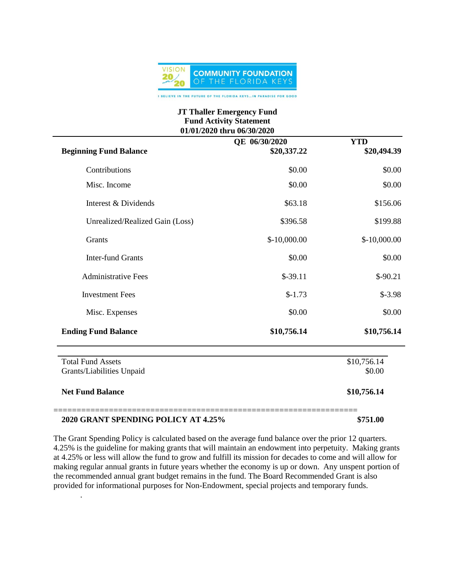

## **JT Thaller Emergency Fund Fund Activity Statement 01/01/2020 thru 06/30/2020**

| <b>Beginning Fund Balance</b>                         | QE 06/30/2020<br>\$20,337.22 | <b>YTD</b><br>\$20,494.39 |
|-------------------------------------------------------|------------------------------|---------------------------|
| Contributions                                         | \$0.00                       | \$0.00                    |
| Misc. Income                                          | \$0.00                       | \$0.00                    |
| Interest & Dividends                                  | \$63.18                      | \$156.06                  |
| Unrealized/Realized Gain (Loss)                       | \$396.58                     | \$199.88                  |
| Grants                                                | $$-10,000.00$                | $$-10,000.00$             |
| <b>Inter-fund Grants</b>                              | \$0.00                       | \$0.00                    |
| <b>Administrative Fees</b>                            | $$-39.11$                    | $$-90.21$                 |
| <b>Investment Fees</b>                                | $$-1.73$                     | $$-3.98$                  |
| Misc. Expenses                                        | \$0.00                       | \$0.00                    |
| <b>Ending Fund Balance</b>                            | \$10,756.14                  | \$10,756.14               |
| <b>Total Fund Assets</b><br>Grants/Liabilities Unpaid |                              | \$10,756.14<br>\$0.00     |
| <b>Net Fund Balance</b>                               |                              | \$10,756.14               |
|                                                       |                              |                           |

## **2020 GRANT SPENDING POLICY AT 4.25% \$751.00**

.

The Grant Spending Policy is calculated based on the average fund balance over the prior 12 quarters. 4.25% is the guideline for making grants that will maintain an endowment into perpetuity. Making grants at 4.25% or less will allow the fund to grow and fulfill its mission for decades to come and will allow for making regular annual grants in future years whether the economy is up or down. Any unspent portion of the recommended annual grant budget remains in the fund. The Board Recommended Grant is also provided for informational purposes for Non-Endowment, special projects and temporary funds.